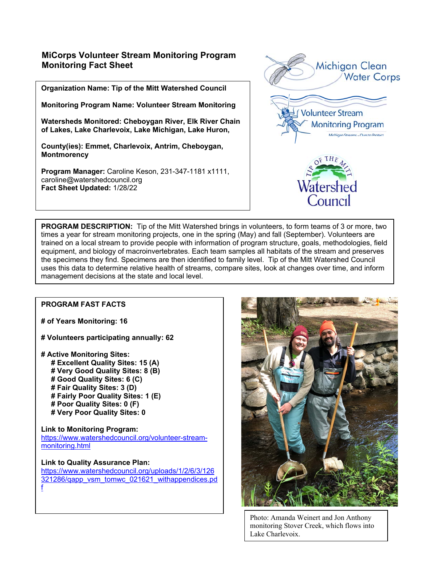## **MiCorps Volunteer Stream Monitoring Program Monitoring Fact Sheet**

**Organization Name: Tip of the Mitt Watershed Council** 

**Monitoring Program Name: Volunteer Stream Monitoring** 

**Watersheds Monitored: Cheboygan River, Elk River Chain of Lakes, Lake Charlevoix, Lake Michigan, Lake Huron,** 

**County(ies): Emmet, Charlevoix, Antrim, Cheboygan, Montmorency** 

**Program Manager:** Caroline Keson, 231-347-1181 x1111, caroline@watershedcouncil.org **Fact Sheet Updated:** 1/28/22



**PROGRAM DESCRIPTION:** Tip of the Mitt Watershed brings in volunteers, to form teams of 3 or more, two times a year for stream monitoring projects, one in the spring (May) and fall (September). Volunteers are trained on a local stream to provide people with information of program structure, goals, methodologies, field equipment, and biology of macroinvertebrates. Each team samples all habitats of the stream and preserves the specimens they find. Specimens are then identified to family level. Tip of the Mitt Watershed Council uses this data to determine relative health of streams, compare sites, look at changes over time, and inform management decisions at the state and local level.

## **PROGRAM FAST FACTS**

- **# of Years Monitoring: 16**
- **# Volunteers participating annually: 62**
- **# Active Monitoring Sites:** 
	- **# Excellent Quality Sites: 15 (A)**
	- **# Very Good Quality Sites: 8 (B)**
	- **# Good Quality Sites: 6 (C)**
	- **# Fair Quality Sites: 3 (D)**
	- **# Fairly Poor Quality Sites: 1 (E)**
	- **# Poor Quality Sites: 0 (F) # Very Poor Quality Sites: 0**
	-

**Link to Monitoring Program:**  https://www.watershedcouncil.org/volunteer-streammonitoring.html

**Link to Quality Assurance Plan:**  https://www.watershedcouncil.org/uploads/1/2/6/3/126 321286/qapp\_vsm\_tomwc\_021621\_withappendices.pd f



Photo: Amanda Weinert and Jon Anthony monitoring Stover Creek, which flows into Lake Charlevoix.